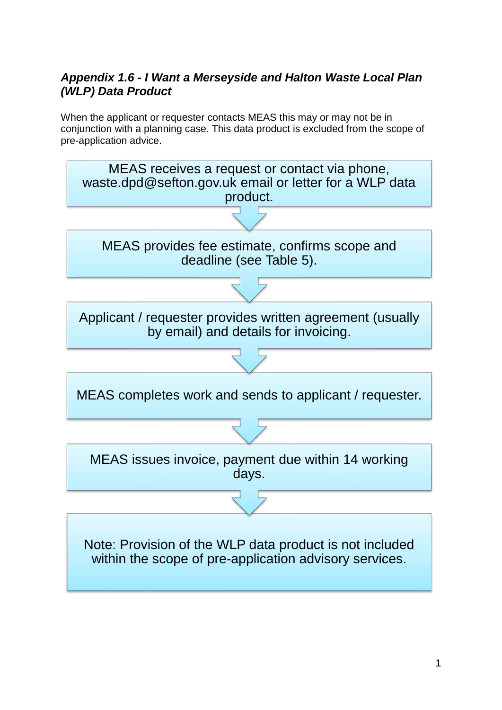# *Appendix 1.6 - I Want a Merseyside and Halton Waste Local Plan (WLP) Data Product*

When the applicant or requester contacts MEAS this may or may not be in conjunction with a planning case. This data product is excluded from the scope of pre-application advice.

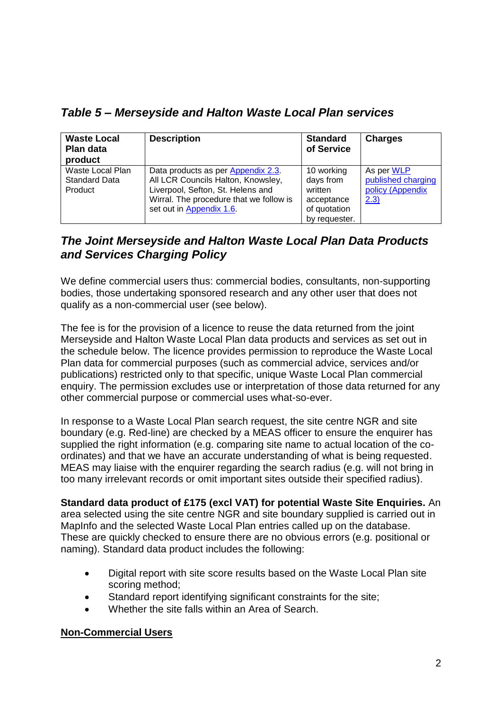*Table 5 – Merseyside and Halton Waste Local Plan services*

| <b>Waste Local</b><br><b>Plan data</b><br>product   | <b>Description</b>                                                                                                                                                                   | <b>Standard</b><br>of Service                                                     | <b>Charges</b>                                               |
|-----------------------------------------------------|--------------------------------------------------------------------------------------------------------------------------------------------------------------------------------------|-----------------------------------------------------------------------------------|--------------------------------------------------------------|
| Waste Local Plan<br><b>Standard Data</b><br>Product | Data products as per Appendix 2.3.<br>All LCR Councils Halton, Knowsley,<br>Liverpool, Sefton, St. Helens and<br>Wirral. The procedure that we follow is<br>set out in Appendix 1.6. | 10 working<br>days from<br>written<br>acceptance<br>of quotation<br>by requester. | As per WLP<br>published charging<br>policy (Appendix<br>2.3) |

# *The Joint Merseyside and Halton Waste Local Plan Data Products and Services Charging Policy*

We define commercial users thus: commercial bodies, consultants, non-supporting bodies, those undertaking sponsored research and any other user that does not qualify as a non-commercial user (see below).

The fee is for the provision of a licence to reuse the data returned from the joint Merseyside and Halton Waste Local Plan data products and services as set out in the schedule below. The licence provides permission to reproduce the Waste Local Plan data for commercial purposes (such as commercial advice, services and/or publications) restricted only to that specific, unique Waste Local Plan commercial enquiry. The permission excludes use or interpretation of those data returned for any other commercial purpose or commercial uses what-so-ever.

In response to a Waste Local Plan search request, the site centre NGR and site boundary (e.g. Red-line) are checked by a MEAS officer to ensure the enquirer has supplied the right information (e.g. comparing site name to actual location of the coordinates) and that we have an accurate understanding of what is being requested. MEAS may liaise with the enquirer regarding the search radius (e.g. will not bring in too many irrelevant records or omit important sites outside their specified radius).

**Standard data product of £175 (excl VAT) for potential Waste Site Enquiries.** An area selected using the site centre NGR and site boundary supplied is carried out in MapInfo and the selected Waste Local Plan entries called up on the database. These are quickly checked to ensure there are no obvious errors (e.g. positional or naming). Standard data product includes the following:

- Digital report with site score results based on the Waste Local Plan site scoring method;
- Standard report identifying significant constraints for the site;
- Whether the site falls within an Area of Search.

### **Non-Commercial Users**